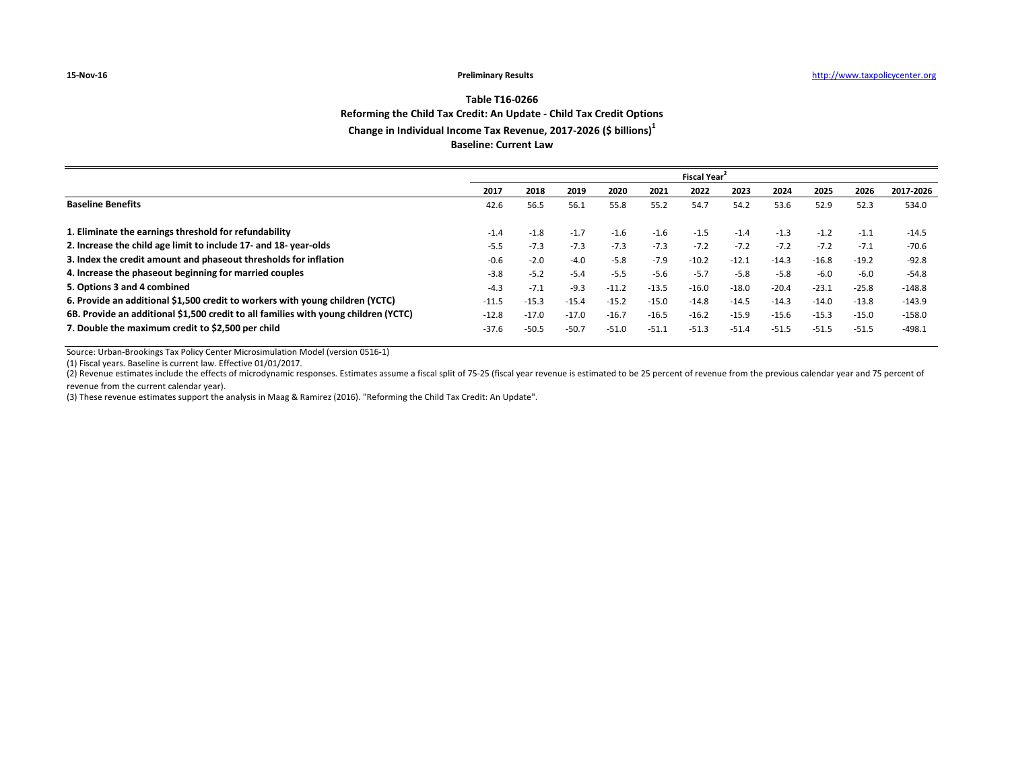## **Table T16-0266 Reforming the Child Tax Credit: An Update - Child Tax Credit Options Change in Individual Income Tax Revenue, 2017-2026 (\$ billions)1 Baseline: Current Law**

|                                                                                     | <b>Fiscal Year</b> |         |         |         |         |         |         |         |         |         |           |
|-------------------------------------------------------------------------------------|--------------------|---------|---------|---------|---------|---------|---------|---------|---------|---------|-----------|
|                                                                                     | 2017               | 2018    | 2019    | 2020    | 2021    | 2022    | 2023    | 2024    | 2025    | 2026    | 2017-2026 |
| <b>Baseline Benefits</b>                                                            | 42.6               | 56.5    | 56.1    | 55.8    | 55.2    | 54.7    | 54.2    | 53.6    | 52.9    | 52.3    | 534.0     |
|                                                                                     |                    |         |         |         |         |         |         |         |         |         |           |
| 1. Eliminate the earnings threshold for refundability                               | $-1.4$             | $-1.8$  | $-1.7$  | $-1.6$  | $-1.6$  | $-1.5$  | $-1.4$  | $-1.3$  | $-1.2$  | $-1.1$  | $-14.5$   |
| 2. Increase the child age limit to include 17- and 18-year-olds                     | $-5.5$             | $-7.3$  | $-7.3$  | $-7.3$  | $-7.3$  | $-7.2$  | $-7.2$  | $-7.2$  | $-7.2$  | $-7.1$  | $-70.6$   |
| 3. Index the credit amount and phaseout thresholds for inflation                    | $-0.6$             | $-2.0$  | $-4.0$  | $-5.8$  | $-7.9$  | $-10.2$ | $-12.1$ | $-14.3$ | $-16.8$ | $-19.2$ | $-92.8$   |
| 4. Increase the phaseout beginning for married couples                              | $-3.8$             | $-5.2$  | $-5.4$  | $-5.5$  | $-5.6$  | $-5.7$  | $-5.8$  | $-5.8$  | $-6.0$  | $-6.0$  | $-54.8$   |
| 5. Options 3 and 4 combined                                                         | $-4.3$             | $-7.1$  | $-9.3$  | $-11.2$ | $-13.5$ | $-16.0$ | $-18.0$ | $-20.4$ | $-23.1$ | $-25.8$ | -148.8    |
| 6. Provide an additional \$1,500 credit to workers with young children (YCTC)       | $-11.5$            | $-15.3$ | $-15.4$ | $-15.2$ | $-15.0$ | $-14.8$ | $-14.5$ | $-14.3$ | $-14.0$ | $-13.8$ | $-143.9$  |
| 6B. Provide an additional \$1,500 credit to all families with young children (YCTC) | $-12.8$            | $-17.0$ | $-17.0$ | $-16.7$ | $-16.5$ | $-16.2$ | $-15.9$ | $-15.6$ | $-15.3$ | $-15.0$ | $-158.0$  |
| 7. Double the maximum credit to \$2,500 per child                                   | $-37.6$            | $-50.5$ | $-50.7$ | $-51.0$ | $-51.1$ | $-51.3$ | $-51.4$ | $-51.5$ | $-51.5$ | $-51.5$ | $-498.1$  |

Source: Urban-Brookings Tax Policy Center Microsimulation Model (version 0516-1)

(1) Fiscal years. Baseline is current law. Effective 01/01/2017.

(2) Revenue estimates include the effects of microdynamic responses. Estimates assume a fiscal split of 75-25 (fiscal year revenue is estimated to be 25 percent of revenue from the previous calendar year and 75 percent of revenue from the current calendar year).

(3) These revenue estimates support the analysis in Maag & Ramirez (2016). "Reforming the Child Tax Credit: An Update".